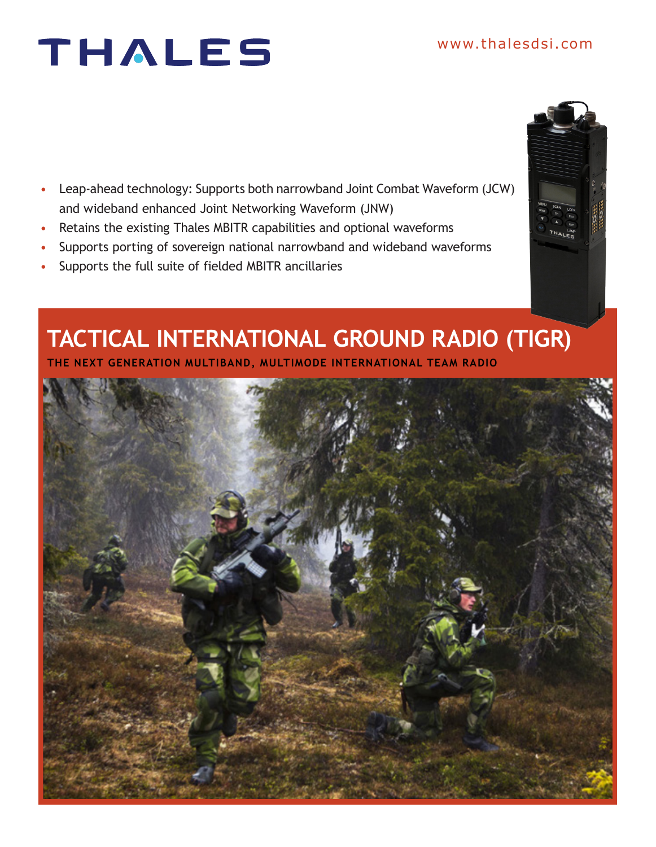# THALES

- Leap-ahead technology: Supports both narrowband Joint Combat Waveform (JCW) and wideband enhanced Joint Networking Waveform (JNW)
- Retains the existing Thales MBITR capabilities and optional waveforms
- Supports porting of sovereign national narrowband and wideband waveforms
- Supports the full suite of fielded MBITR ancillaries

### **TACTICAL INTERNATIONAL GROUND RADIO (TIGR)**

**THE NEXT GENERATION MULTIBAND, MULTIMODE INTERNATIONAL TEAM RADIO**